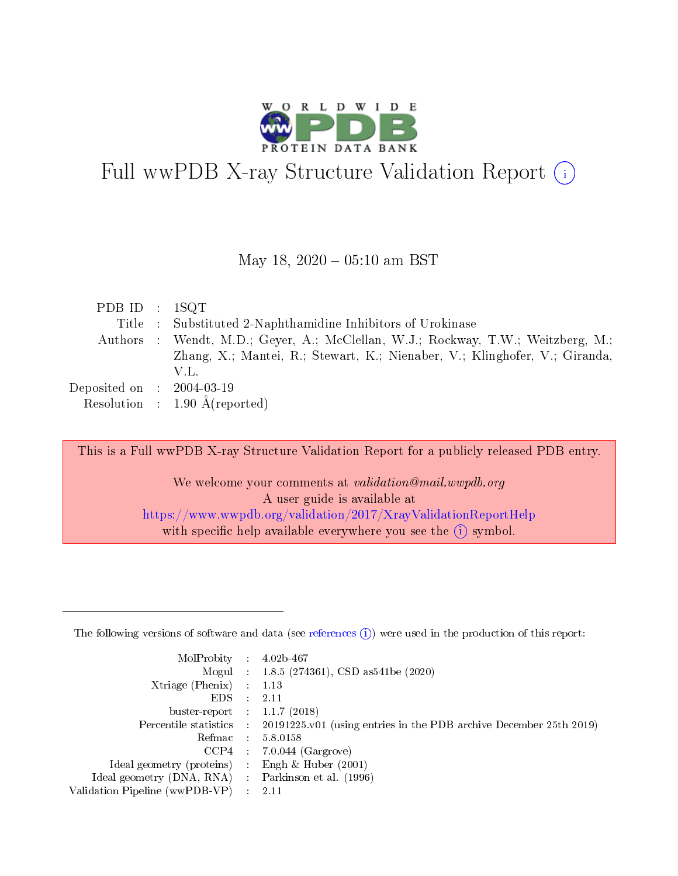

# Full wwPDB X-ray Structure Validation Report  $(i)$

#### May 18,  $2020 - 05:10$  am BST

| PDB ID : $1SQT$                |                                                                                  |
|--------------------------------|----------------------------------------------------------------------------------|
|                                | Title : Substituted 2-Naphthamidine Inhibitors of Urokinase                      |
|                                | Authors : Wendt, M.D.; Geyer, A.; McClellan, W.J.; Rockway, T.W.; Weitzberg, M.; |
|                                | Zhang, X.; Mantei, R.; Stewart, K.; Nienaber, V.; Klinghofer, V.; Giranda,       |
|                                | V.L.                                                                             |
| Deposited on $\;$ : 2004-03-19 |                                                                                  |
|                                | Resolution : $1.90 \text{ Å}$ (reported)                                         |

This is a Full wwPDB X-ray Structure Validation Report for a publicly released PDB entry.

We welcome your comments at validation@mail.wwpdb.org A user guide is available at <https://www.wwpdb.org/validation/2017/XrayValidationReportHelp> with specific help available everywhere you see the  $(i)$  symbol.

The following versions of software and data (see [references](https://www.wwpdb.org/validation/2017/XrayValidationReportHelp#references)  $(1)$ ) were used in the production of this report:

| MolProbity :                   |               | $4.02b - 467$                                                               |
|--------------------------------|---------------|-----------------------------------------------------------------------------|
|                                |               | Mogul : $1.8.5$ (274361), CSD as 541be (2020)                               |
| Xtriage (Phenix)               | $\mathcal{L}$ | 1.13                                                                        |
| EDS.                           |               | 2.11                                                                        |
| buster-report : $1.1.7$ (2018) |               |                                                                             |
| Percentile statistics :        |               | $20191225 \text{v}01$ (using entries in the PDB archive December 25th 2019) |
| Refmac :                       |               | 5.8.0158                                                                    |
| CCP4                           |               | $7.0.044$ (Gargrove)                                                        |
| Ideal geometry (proteins) :    |               | Engh $\&$ Huber (2001)                                                      |
| Ideal geometry (DNA, RNA) :    |               | Parkinson et al. (1996)                                                     |
| Validation Pipeline (wwPDB-VP) | $\mathcal{L}$ | 2.11                                                                        |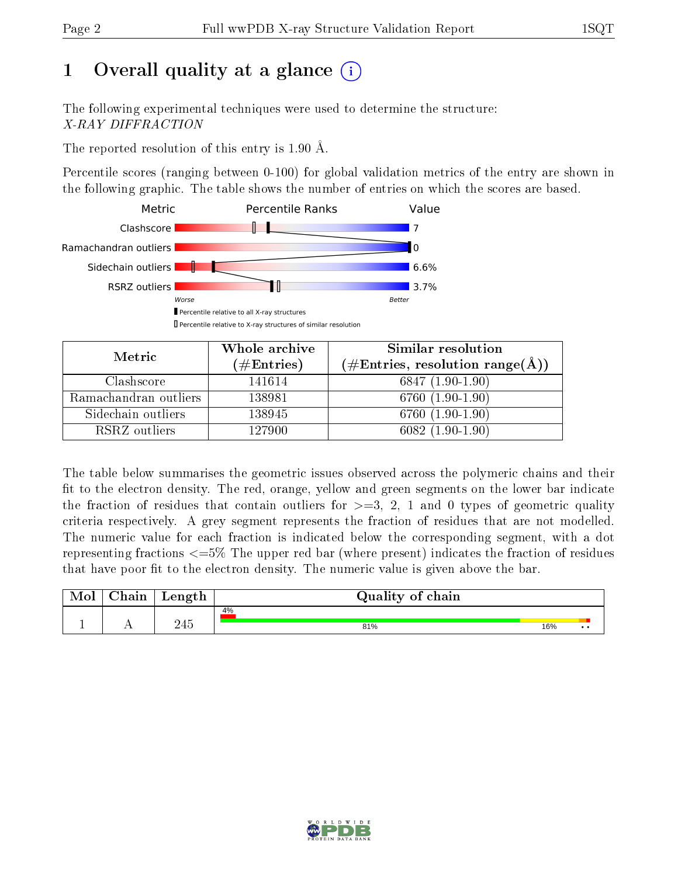# 1 [O](https://www.wwpdb.org/validation/2017/XrayValidationReportHelp#overall_quality)verall quality at a glance  $(i)$

The following experimental techniques were used to determine the structure: X-RAY DIFFRACTION

The reported resolution of this entry is 1.90 Å.

Percentile scores (ranging between 0-100) for global validation metrics of the entry are shown in the following graphic. The table shows the number of entries on which the scores are based.



| Metric                | Whole archive<br>$(\#\text{Entries})$ | Similar resolution<br>$(\#\text{Entries}, \text{resolution range}(\AA))$ |
|-----------------------|---------------------------------------|--------------------------------------------------------------------------|
| Clashscore            | 141614                                | $6847(1.90-1.90)$                                                        |
| Ramachandran outliers | 138981                                | 6760 (1.90-1.90)                                                         |
| Sidechain outliers    | 138945                                | 6760 $(1.90-1.90)$                                                       |
| RSRZ outliers         | 127900                                | $6082(1.90-1.90)$                                                        |

The table below summarises the geometric issues observed across the polymeric chains and their fit to the electron density. The red, orange, yellow and green segments on the lower bar indicate the fraction of residues that contain outliers for  $\geq=3$ , 2, 1 and 0 types of geometric quality criteria respectively. A grey segment represents the fraction of residues that are not modelled. The numeric value for each fraction is indicated below the corresponding segment, with a dot representing fractions  $\epsilon = 5\%$  The upper red bar (where present) indicates the fraction of residues that have poor fit to the electron density. The numeric value is given above the bar.

| $\cap$ hain | Length | Quality of chain |     |  |
|-------------|--------|------------------|-----|--|
|             |        | 4%               |     |  |
|             | 245    | 81%              | 16% |  |

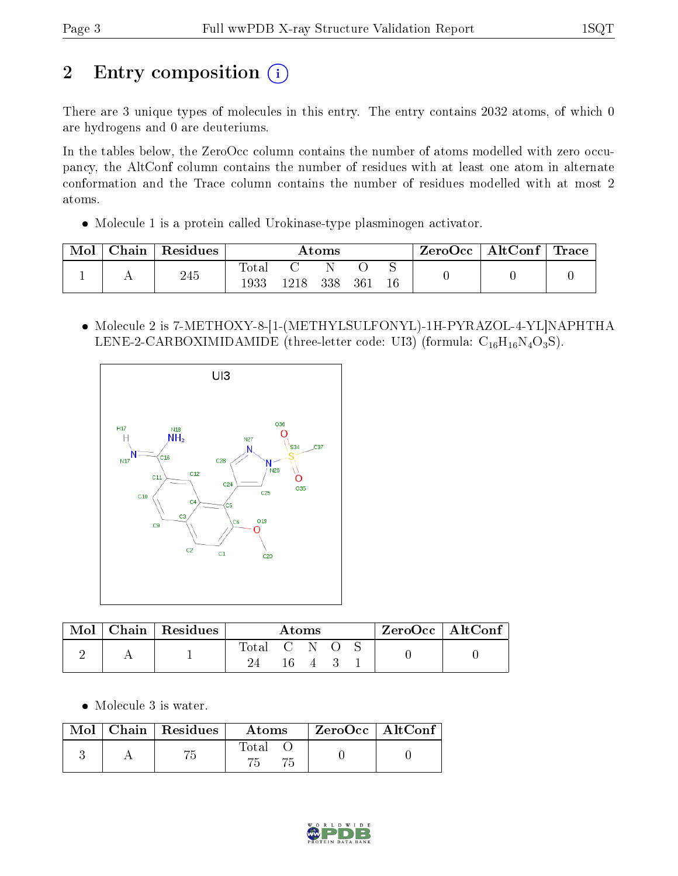# 2 Entry composition (i)

There are 3 unique types of molecules in this entry. The entry contains 2032 atoms, of which 0 are hydrogens and 0 are deuteriums.

In the tables below, the ZeroOcc column contains the number of atoms modelled with zero occupancy, the AltConf column contains the number of residues with at least one atom in alternate conformation and the Trace column contains the number of residues modelled with at most 2 atoms.

Molecule 1 is a protein called Urokinase-type plasminogen activator.

| Mol | ${\rm Chain}$ | Residues |               |      | $\rm{Atoms}$ |     |    | ZeroOcc | $\mathrm{AltConf} \mid \mathrm{Trace}$ |  |
|-----|---------------|----------|---------------|------|--------------|-----|----|---------|----------------------------------------|--|
|     |               | 245      | Tota.<br>1933 | 1218 | 338          | 361 | 16 |         |                                        |  |

 Molecule 2 is 7-METHOXY-8-[1-(METHYLSULFONYL)-1H-PYRAZOL-4-YL]NAPHTHA LENE-2-CARBOXIMIDAMIDE (three-letter code: UI3) (formula:  $C_{16}H_{16}N_4O_3S$ ).



| Mol | $\perp$ Chain   Residues | Atoms       |  |                    |  | ZeroOcc   AltConf |  |  |
|-----|--------------------------|-------------|--|--------------------|--|-------------------|--|--|
|     |                          | Total C N O |  | $\mathbf{\Lambda}$ |  |                   |  |  |

• Molecule 3 is water.

| $\text{Mol}$ | Chain   Residues | Atoms | ZeroOcc   AltConf |  |
|--------------|------------------|-------|-------------------|--|
|              |                  | Total |                   |  |

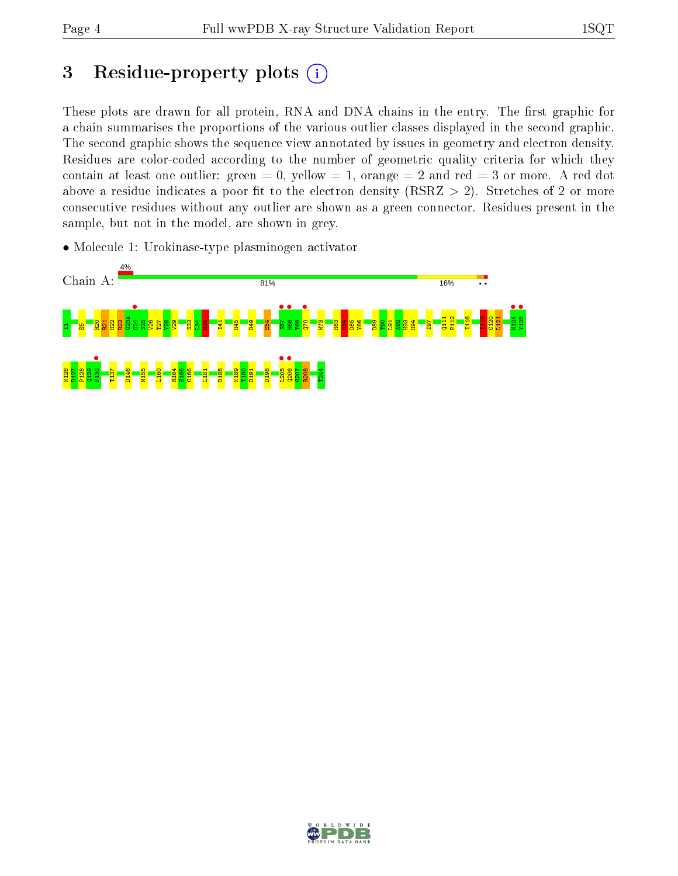## 3 Residue-property plots  $(i)$

These plots are drawn for all protein, RNA and DNA chains in the entry. The first graphic for a chain summarises the proportions of the various outlier classes displayed in the second graphic. The second graphic shows the sequence view annotated by issues in geometry and electron density. Residues are color-coded according to the number of geometric quality criteria for which they contain at least one outlier: green  $= 0$ , yellow  $= 1$ , orange  $= 2$  and red  $= 3$  or more. A red dot above a residue indicates a poor fit to the electron density (RSRZ  $> 2$ ). Stretches of 2 or more consecutive residues without any outlier are shown as a green connector. Residues present in the sample, but not in the model, are shown in grey.

• Molecule 1: Urokinase-type plasminogen activator



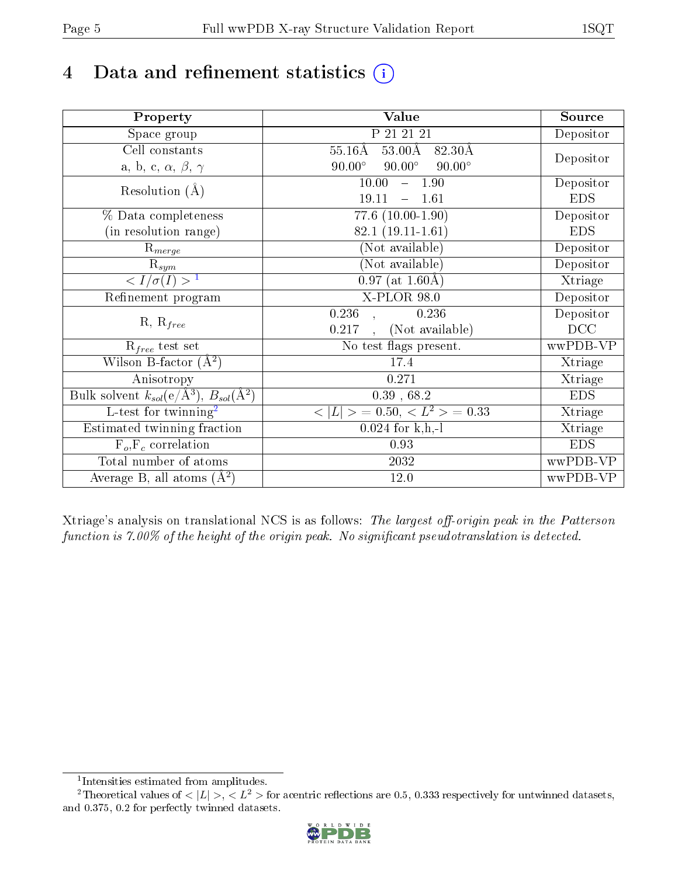# 4 Data and refinement statistics  $(i)$

| Property                                                             | Value                                            | Source     |
|----------------------------------------------------------------------|--------------------------------------------------|------------|
| Space group                                                          | P 21 21 21                                       | Depositor  |
| Cell constants                                                       | $55.16\text{\AA}$<br>$53.00\text{\AA}$<br>82.30Å |            |
| a, b, c, $\alpha$ , $\beta$ , $\gamma$                               | $90.00^\circ$<br>$90.00^\circ$<br>$90.00^\circ$  | Depositor  |
| Resolution $(A)$                                                     | 10.00<br>$-1.90$                                 | Depositor  |
|                                                                      | 19.11<br>1.61                                    | <b>EDS</b> |
| % Data completeness                                                  | $77.6$ $(10.00-1.90)$                            | Depositor  |
| (in resolution range)                                                | $82.1(19.11-1.61)$                               | <b>EDS</b> |
| $R_{merge}$                                                          | (Not available)                                  | Depositor  |
| $\mathrm{R}_{sym}$                                                   | (Not available)                                  | Depositor  |
| $\langle I/\sigma(I) \rangle^{-1}$                                   | $\overline{0.97}$ (at 1.60Å)                     | Xtriage    |
| Refinement program                                                   | X-PLOR 98.0                                      | Depositor  |
|                                                                      | $\overline{0.236}$<br>0.236                      | Depositor  |
| $R, R_{free}$                                                        | (Not available)<br>0.217                         | DCC        |
| $R_{free}$ test set                                                  | No test flags present.                           | wwPDB-VP   |
| Wilson B-factor $(A^2)$                                              | 17.4                                             | Xtriage    |
| Anisotropy                                                           | 0.271                                            | Xtriage    |
| Bulk solvent $k_{sol}(e/\mathring{A}^3)$ , $B_{sol}(\mathring{A}^2)$ | $0.39$ , $68.2$                                  | <b>EDS</b> |
| $\overline{L-test for }$ twinning <sup>2</sup>                       | $>$ = 0.50, < $L^2$ > = 0.33<br>< L              | Xtriage    |
| Estimated twinning fraction                                          | $0.024$ for k,h,-l                               | Xtriage    |
| $F_o, F_c$ correlation                                               | 0.93                                             | <b>EDS</b> |
| Total number of atoms                                                | 2032                                             | wwPDB-VP   |
| Average B, all atoms $(A^2)$                                         | 12.0                                             | wwPDB-VP   |

Xtriage's analysis on translational NCS is as follows: The largest off-origin peak in the Patterson function is  $7.00\%$  of the height of the origin peak. No significant pseudotranslation is detected.

<sup>&</sup>lt;sup>2</sup>Theoretical values of  $\langle |L| \rangle$ ,  $\langle L^2 \rangle$  for acentric reflections are 0.5, 0.333 respectively for untwinned datasets, and 0.375, 0.2 for perfectly twinned datasets.



<span id="page-4-1"></span><span id="page-4-0"></span><sup>1</sup> Intensities estimated from amplitudes.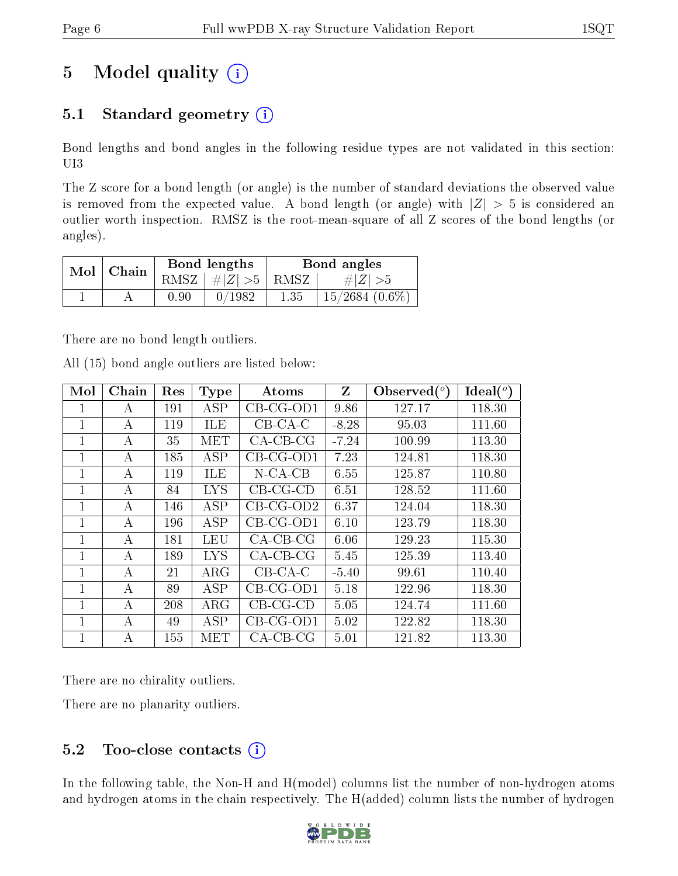# 5 Model quality  $(i)$

### 5.1 Standard geometry  $(i)$

Bond lengths and bond angles in the following residue types are not validated in this section: UI3

The Z score for a bond length (or angle) is the number of standard deviations the observed value is removed from the expected value. A bond length (or angle) with  $|Z| > 5$  is considered an outlier worth inspection. RMSZ is the root-mean-square of all Z scores of the bond lengths (or angles).

| $Mol$   Chain |          | Bond lengths                 | Bond angles |                   |  |
|---------------|----------|------------------------------|-------------|-------------------|--|
|               |          | RMSZ $\mid \#Z \mid >5$ RMSZ |             | $\# Z  > 5$       |  |
|               | $0.90\,$ | 0/1982                       | 1.35        | $15/2684~(0.6\%)$ |  |

There are no bond length outliers.

|  |  | All (15) bond angle outliers are listed below: |  |  |
|--|--|------------------------------------------------|--|--|
|  |  |                                                |  |  |

| Mol          | Chain | Res | <b>Type</b> | Atoms       | Z       | $\lambda$ Observed $(^\circ)$ | Ideal $(^\circ)$ |
|--------------|-------|-----|-------------|-------------|---------|-------------------------------|------------------|
| $\mathbf{I}$ | А     | 191 | <b>ASP</b>  | $CB-CG-OD1$ | 9.86    | 127.17                        | 118.30           |
| 1            | А     | 119 | <b>ILE</b>  | $CB-CA-C$   | $-8.28$ | 95.03                         | 111.60           |
| 1            | А     | 35  | MET         | $CA-CB-CG$  | $-7.24$ | 100.99                        | 113.30           |
| 1            | А     | 185 | <b>ASP</b>  | $CB-CG-OD1$ | 7.23    | 124.81                        | 118.30           |
| 1            | А     | 119 | ILE         | $N$ -CA-CB  | 6.55    | 125.87                        | 110.80           |
| 1            | А     | 84  | <b>LYS</b>  | $CB-CG-CD$  | 6.51    | 128.52                        | 111.60           |
| 1            | А     | 146 | ASP         | $CB-CG-OD2$ | 6.37    | 124.04                        | 118.30           |
| 1            | А     | 196 | ASP         | $CB-CG-OD1$ | 6.10    | 123.79                        | 118.30           |
| 1            | A     | 181 | LEU         | $CA-CB-CG$  | 6.06    | 129.23                        | 115.30           |
| 1            | А     | 189 | <b>LYS</b>  | $CA-CB-CG$  | 5.45    | 125.39                        | 113.40           |
| 1            | А     | 21  | $\rm{ARG}$  | $CB-CA-C$   | $-5.40$ | 99.61                         | 110.40           |
|              | А     | 89  | ASP         | $CB-CG-OD1$ | 5.18    | 122.96                        | 118.30           |
| 1            | А     | 208 | $\rm{ARG}$  | $CB-CG-CD$  | 5.05    | 124.74                        | 111.60           |
| 1            | А     | 49  | ASP         | $CB-CG-OD1$ | 5.02    | 122.82                        | 118.30           |
| $\mathbf 1$  | А     | 155 | MET         | $CA-CB-CG$  | 5.01    | 121.82                        | 113.30           |

There are no chirality outliers.

There are no planarity outliers.

### 5.2 Too-close contacts  $(i)$

In the following table, the Non-H and H(model) columns list the number of non-hydrogen atoms and hydrogen atoms in the chain respectively. The H(added) column lists the number of hydrogen

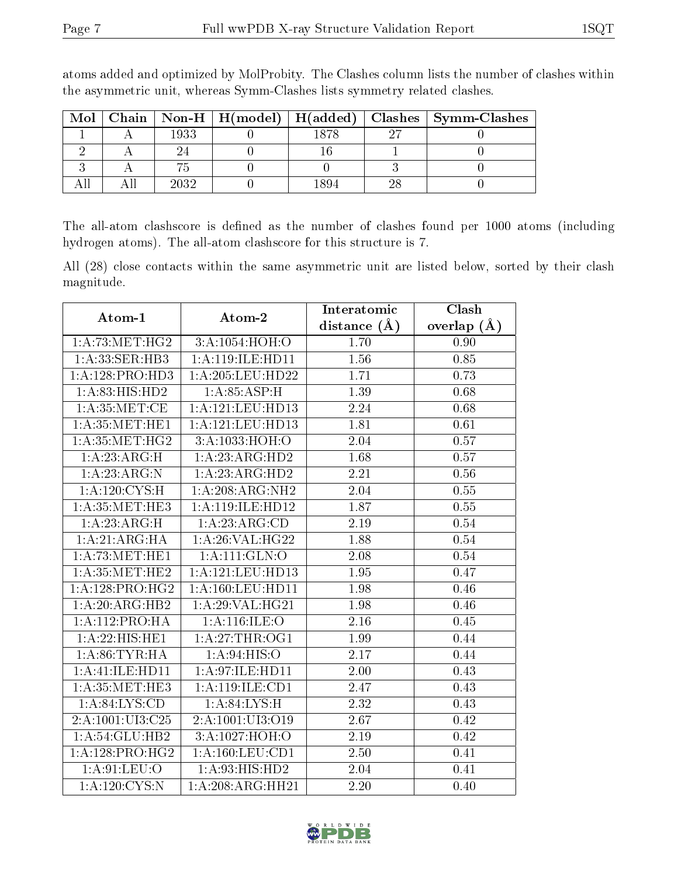| Mol |      |      | Chain   Non-H   H(model)   H(added)   Clashes   Symm-Clashes |
|-----|------|------|--------------------------------------------------------------|
|     | 1933 | 1878 |                                                              |
|     |      |      |                                                              |
|     |      |      |                                                              |
|     | 2032 | 894  |                                                              |

atoms added and optimized by MolProbity. The Clashes column lists the number of clashes within the asymmetric unit, whereas Symm-Clashes lists symmetry related clashes.

The all-atom clashscore is defined as the number of clashes found per 1000 atoms (including hydrogen atoms). The all-atom clashscore for this structure is 7.

All (28) close contacts within the same asymmetric unit are listed below, sorted by their clash magnitude.

| Atom-1                      | Atom-2               | Interatomic    | Clash         |
|-----------------------------|----------------------|----------------|---------------|
|                             |                      | distance $(A)$ | overlap $(A)$ |
| 1: A:73:MET:HG2             | 3:A:1054:HOH:O       | 1.70           | 0.90          |
| 1:A:33:SER:HB3              | 1:A:119:ILE:HD11     | 1.56           | 0.85          |
| 1:A:128:PRO:HD3             | 1:A:205:LEU:HD22     | 1.71           | 0.73          |
| 1:A:83:HIS:HD2              | 1: A:85: ASP:H       | 1.39           | 0.68          |
| 1: A:35:MET:CE              | 1:A:121:LEU:HD13     | 2.24           | 0.68          |
| 1: A:35:MET:HE1             | 1:A:121:LEU:HD13     | 1.81           | 0.61          |
| 1: A:35:MET:HG2             | 3:A:1033:HOH:O       | 2.04           | 0.57          |
| 1: A:23: ARG:H              | 1:A:23:ARG:HD2       | 1.68           | 0.57          |
| 1:A:23:ARG:N                | 1:A:23:ARG:HD2       | 2.21           | 0.56          |
| 1: A:120: CYS:H             | 1:A:208:ARG:NH2      | 2.04           | 0.55          |
| 1: A:35:MET:HE3             | 1:A:119:ILE:HD12     | 1.87           | 0.55          |
| 1:A:23:ARG:H                | 1:A:23:ARG:CD        | 2.19           | 0.54          |
| 1:A:21:ARG:HA               | 1: A:26: VAL:HG22    | 1.88           | 0.54          |
| 1: A:73:MET:HE1             | 1: A: 111: GLN: O    | 2.08           | 0.54          |
| 1: A:35:MET:HE2             | 1:A:121:LEU:HD13     | 1.95           | 0.47          |
| 1:A:128:PRO:HG2             | 1: A: 160: LEU: HD11 | 1.98           | 0.46          |
| $1:A:20:ARG:H\overline{B2}$ | 1: A:29: VAL:HG21    | 1.98           | 0.46          |
| 1: A: 112: PRO: HA          | 1:A:116:ILE:O        | 2.16           | 0.45          |
| 1:A:22:HIS:HE1              | 1: A:27:THR:OG1      | 1.99           | 0.44          |
| 1: A:86:TYR:HA              | 1: A:94: HIS:O       | 2.17           | 0.44          |
| 1:A:41:ILE:HD11             | 1:A:97:ILE:HD11      | 2.00           | 0.43          |
| 1: A:35:MET:HE3             | 1: A: 119: ILE: CD1  | 2.47           | 0.43          |
| 1: A:84: LYS:CD             | 1: A:84:LYS:H        | 2.32           | 0.43          |
| 2:A:1001:UI3:C25            | 2:A:1001:UI3:O19     | 2.67           | 0.42          |
| 1:A:54:GLU:HB2              | 3:A:1027:HOH:O       | 2.19           | 0.42          |
| 1:A:128:PRO:HG2             | 1: A: 160: LEU: CD1  | 2.50           | 0.41          |
| 1: A:91: LEU:O              | 1:A:93:HIS:HD2       | 2.04           | 0.41          |
| 1: A: 120: CYS:N            | 1:A:208:ARG:HH21     | 2.20           | 0.40          |

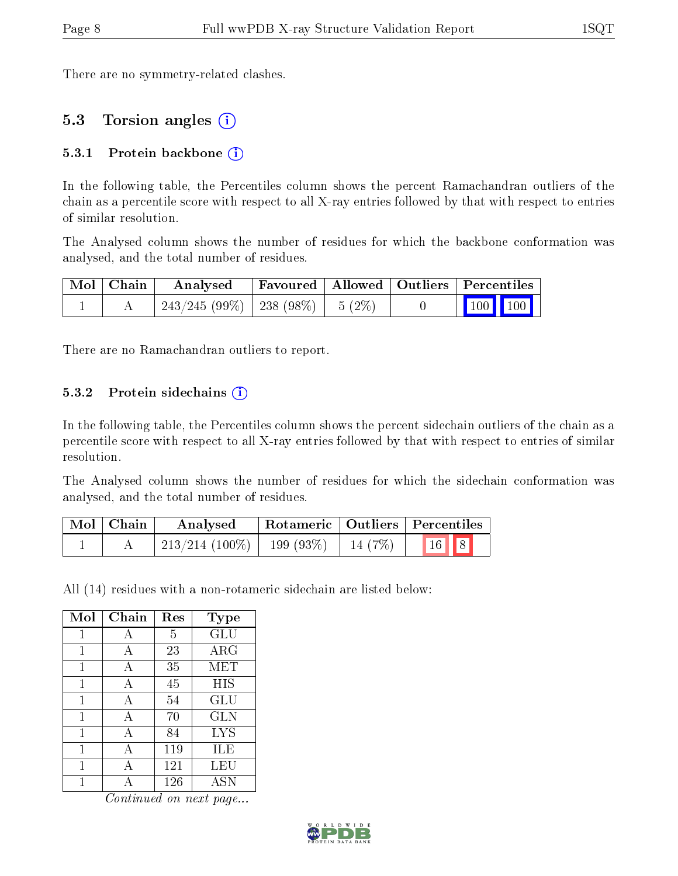There are no symmetry-related clashes.

#### 5.3 Torsion angles (i)

#### 5.3.1 Protein backbone  $(i)$

In the following table, the Percentiles column shows the percent Ramachandran outliers of the chain as a percentile score with respect to all X-ray entries followed by that with respect to entries of similar resolution.

The Analysed column shows the number of residues for which the backbone conformation was analysed, and the total number of residues.

| Mol   Chain | Analysed Favoured   Allowed   Outliers   Percentiles |  |  |         |
|-------------|------------------------------------------------------|--|--|---------|
|             | $243/245 (99\%)$   238 (98\%)   5 (2\%)              |  |  | 100 100 |

There are no Ramachandran outliers to report.

#### 5.3.2 Protein sidechains  $(i)$

In the following table, the Percentiles column shows the percent sidechain outliers of the chain as a percentile score with respect to all X-ray entries followed by that with respect to entries of similar resolution.

The Analysed column shows the number of residues for which the sidechain conformation was analysed, and the total number of residues.

| Mol   Chain | Analysed          | $\mid$ Rotameric $\mid$ Outliers $\mid$ Percentiles |        |                                |  |
|-------------|-------------------|-----------------------------------------------------|--------|--------------------------------|--|
|             | $213/214$ (100\%) | 199 $(93%)$                                         | 14(7%) | $\vert 16 \vert \vert 8 \vert$ |  |

All (14) residues with a non-rotameric sidechain are listed below:

| Mol | Chain | Res | Type       |
|-----|-------|-----|------------|
| 1   | А     | 5   | GLU        |
| 1   | A     | 23  | $\rm{ARG}$ |
| 1   | A     | 35  | MET        |
| 1   | A     | 45  | HIS        |
| 1   | А     | 54  | GLU        |
| 1   | A     | 70  | <b>GLN</b> |
| 1   | A     | 84  | <b>LYS</b> |
| 1   | А     | 119 | ILE        |
| 1   |       | 121 | LEU        |
|     |       | 126 | <b>ASN</b> |

Continued on next page...

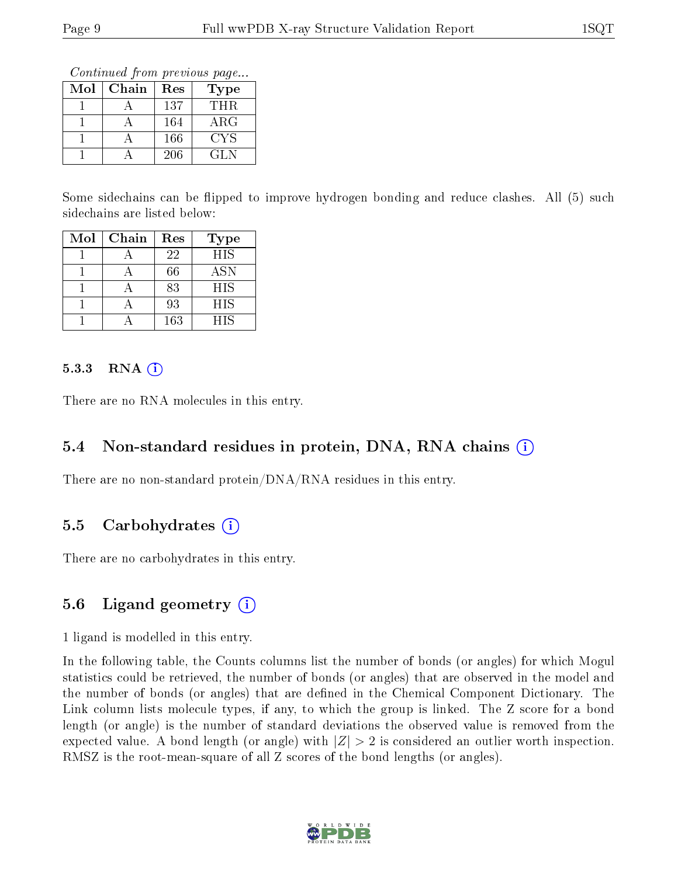Continued from previous page...

| $\operatorname{Mol}$ | Chain | Res | <b>Type</b> |
|----------------------|-------|-----|-------------|
|                      |       | 137 | THR.        |
|                      |       | 164 | ${\rm ARG}$ |
|                      |       | 166 | CYS         |
|                      |       | 206 | GL N        |

Some sidechains can be flipped to improve hydrogen bonding and reduce clashes. All (5) such sidechains are listed below:

| Mol | Chain | Res | <b>Type</b> |
|-----|-------|-----|-------------|
|     |       | 22  | <b>HIS</b>  |
|     |       | 66  | <b>ASN</b>  |
|     |       | 83  | <b>HIS</b>  |
|     |       | 93  | <b>HIS</b>  |
|     |       | 163 | <b>HIS</b>  |

#### $5.3.3$  RNA  $(i)$

There are no RNA molecules in this entry.

#### 5.4 Non-standard residues in protein, DNA, RNA chains (i)

There are no non-standard protein/DNA/RNA residues in this entry.

#### 5.5 Carbohydrates  $(i)$

There are no carbohydrates in this entry.

### 5.6 Ligand geometry  $(i)$

1 ligand is modelled in this entry.

In the following table, the Counts columns list the number of bonds (or angles) for which Mogul statistics could be retrieved, the number of bonds (or angles) that are observed in the model and the number of bonds (or angles) that are defined in the Chemical Component Dictionary. The Link column lists molecule types, if any, to which the group is linked. The Z score for a bond length (or angle) is the number of standard deviations the observed value is removed from the expected value. A bond length (or angle) with  $|Z| > 2$  is considered an outlier worth inspection. RMSZ is the root-mean-square of all Z scores of the bond lengths (or angles).

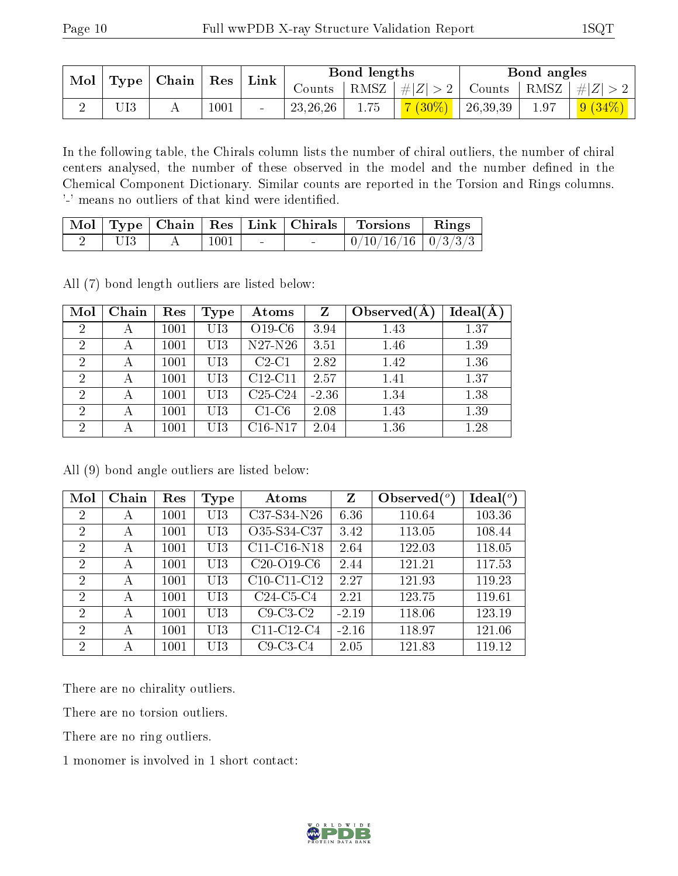| Mol |                           |  |      | Link     |                                                                       | Bond lengths |           |          | Bond angles |           |
|-----|---------------------------|--|------|----------|-----------------------------------------------------------------------|--------------|-----------|----------|-------------|-----------|
|     | $\mid$ Type   Chain   Res |  |      | Counts - | $ RMSZ  \#  Z  > 2  $<br>$\perp$ Counts $\mid$ RMSZ $\mid \#  Z  > 2$ |              |           |          |             |           |
|     |                           |  | 1001 | $\sim$   | 23, 26, 26                                                            | 1.75         | $7(30\%)$ | 26,39,39 | 1.97        | $9(34\%)$ |

In the following table, the Chirals column lists the number of chiral outliers, the number of chiral centers analysed, the number of these observed in the model and the number defined in the Chemical Component Dictionary. Similar counts are reported in the Torsion and Rings columns. '-' means no outliers of that kind were identified.

|  |      |        | Mol   Type   Chain   Res   Link   Chirals   Torsions | $\parallel$ Rings |
|--|------|--------|------------------------------------------------------|-------------------|
|  | 1001 | $\sim$ | $\mid 0/10/16/16 \mid 0/3/3/3$                       |                   |

All (7) bond length outliers are listed below:

| Mol            | Chain | Res      | Type | Atoms     | Z       | Observed $(A$ | Ideal(A) |
|----------------|-------|----------|------|-----------|---------|---------------|----------|
| $\overline{2}$ | А     | 1001     | UI3  | $O19-C6$  | 3.94    | 1.43          | 1.37     |
| $\overline{2}$ | А     | 1001     | UI3  | N27-N26   | 3.51    | 1.46          | 1.39     |
| $\overline{2}$ | А     | 1001     | UI3  | $C2-C1$   | 2.82    | 1.42          | 1.36     |
| $\overline{2}$ |       | 1001     | UI3  | $C12-C11$ | 2.57    | 1.41          | 1.37     |
| $\overline{2}$ | А     | 1001     | UI3  | $C25-C24$ | $-2.36$ | 1.34          | 1.38     |
| 2              | А     | 1001     | UI3  | $C1-C6$   | 2.08    | 1.43          | 1.39     |
| $\overline{2}$ |       | $1001\,$ | UI3  | $C16-N17$ | 2.04    | 1.36          | 1.28     |

All (9) bond angle outliers are listed below:

| Mol            | Chain | Res  | Type | Atoms         | Z       | Observed $\binom{o}{c}$ | Ideal $(°)$ |
|----------------|-------|------|------|---------------|---------|-------------------------|-------------|
| $\overline{2}$ | А     | 1001 | UI3  | C37-S34-N26   | 6.36    | 110.64                  | 103.36      |
| $\overline{2}$ | А     | 1001 | UI3  | O35-S34-C37   | 3.42    | 113.05                  | 108.44      |
| 2              | А     | 1001 | UI3  | $C11-C16-N18$ | 2.64    | 122.03                  | 118.05      |
| $\overline{2}$ | А     | 1001 | UI3  | $C20-O19-C6$  | 2.44    | 121.21                  | 117.53      |
| $\overline{2}$ | А     | 1001 | UI3  | C10-C11-C12   | 2.27    | 121.93                  | 119.23      |
| 2              | А     | 1001 | UI3  | $C24-C5-C4$   | 2.21    | 123.75                  | 119.61      |
| $\overline{2}$ | А     | 1001 | UI3  | $C9-C3-C2$    | $-2.19$ | 118.06                  | 123.19      |
| $\overline{2}$ | А     | 1001 | UI3  | C11-C12-C4    | $-2.16$ | 118.97                  | 121.06      |
| 2              | А     | 1001 | UI3  | $C9-C3-C4$    | 2.05    | 121.83                  | 119.12      |

There are no chirality outliers.

There are no torsion outliers.

There are no ring outliers.

1 monomer is involved in 1 short contact:

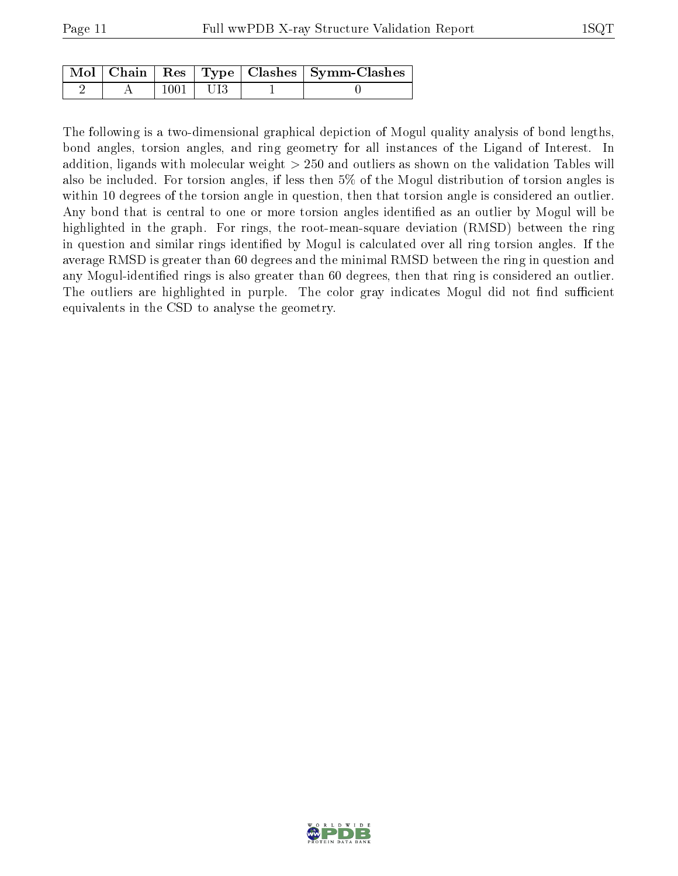|  |            | Mol   Chain   Res   Type   Clashes   Symm-Clashes |
|--|------------|---------------------------------------------------|
|  | $1001$ UI3 |                                                   |

The following is a two-dimensional graphical depiction of Mogul quality analysis of bond lengths, bond angles, torsion angles, and ring geometry for all instances of the Ligand of Interest. In addition, ligands with molecular weight > 250 and outliers as shown on the validation Tables will also be included. For torsion angles, if less then 5% of the Mogul distribution of torsion angles is within 10 degrees of the torsion angle in question, then that torsion angle is considered an outlier. Any bond that is central to one or more torsion angles identified as an outlier by Mogul will be highlighted in the graph. For rings, the root-mean-square deviation (RMSD) between the ring in question and similar rings identified by Mogul is calculated over all ring torsion angles. If the average RMSD is greater than 60 degrees and the minimal RMSD between the ring in question and any Mogul-identified rings is also greater than 60 degrees, then that ring is considered an outlier. The outliers are highlighted in purple. The color gray indicates Mogul did not find sufficient equivalents in the CSD to analyse the geometry.

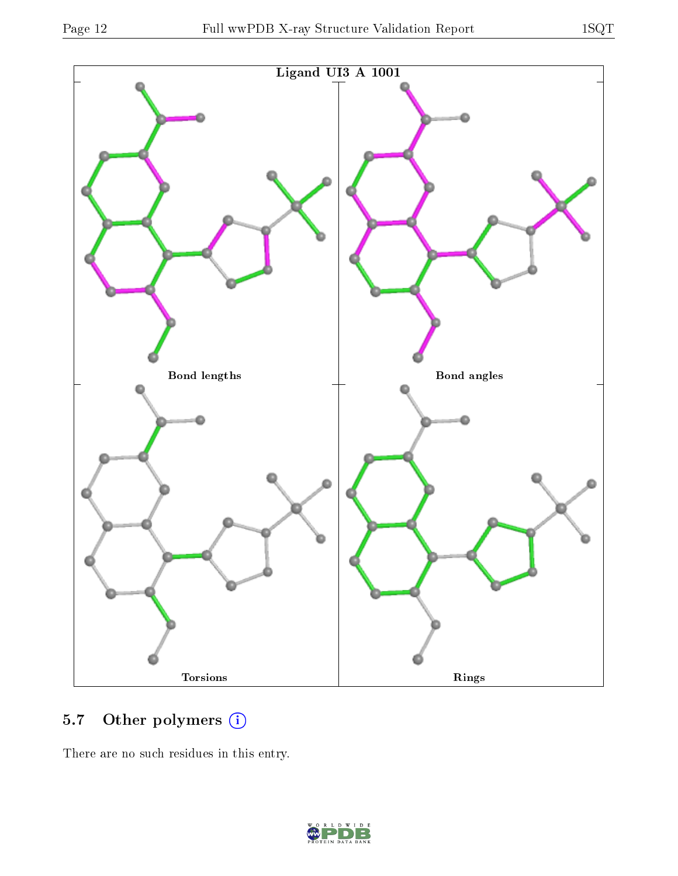

### 5.7 [O](https://www.wwpdb.org/validation/2017/XrayValidationReportHelp#nonstandard_residues_and_ligands)ther polymers (i)

There are no such residues in this entry.

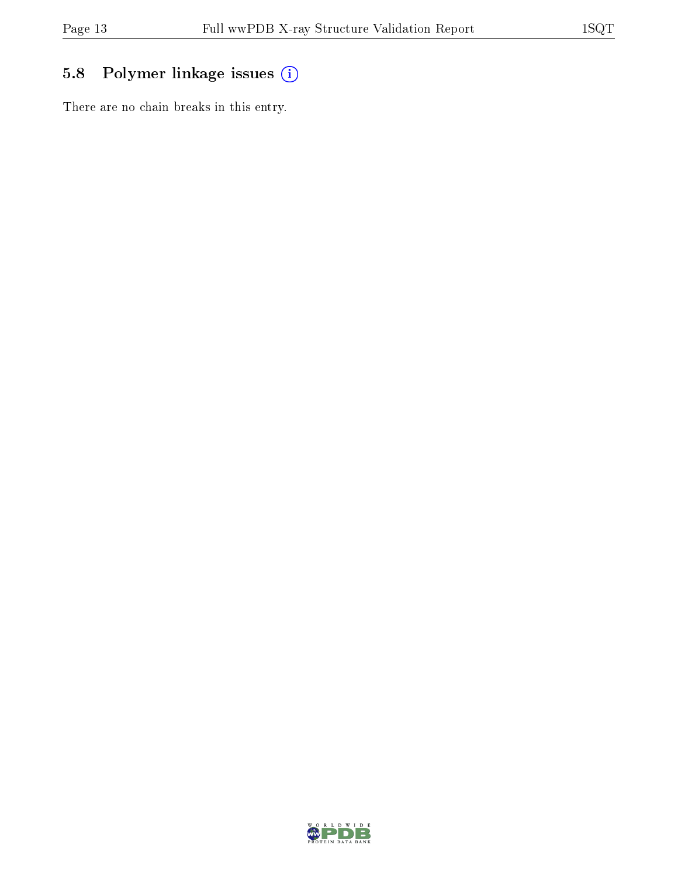### 5.8 Polymer linkage issues (i)

There are no chain breaks in this entry.

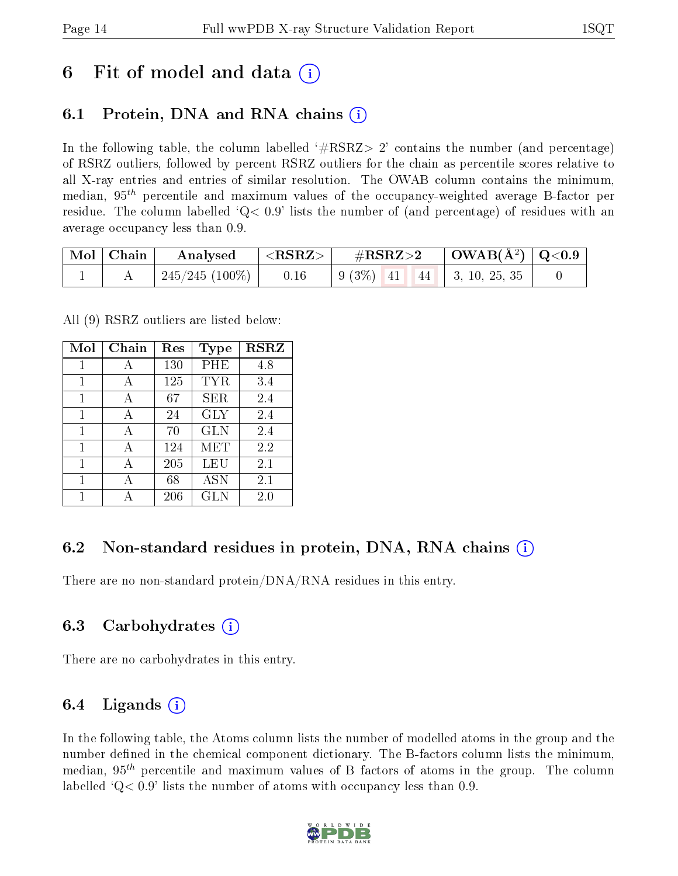## 6 Fit of model and data  $\left( \cdot \right)$

### 6.1 Protein, DNA and RNA chains (i)

In the following table, the column labelled  $#RSRZ>2'$  contains the number (and percentage) of RSRZ outliers, followed by percent RSRZ outliers for the chain as percentile scores relative to all X-ray entries and entries of similar resolution. The OWAB column contains the minimum, median,  $95<sup>th</sup>$  percentile and maximum values of the occupancy-weighted average B-factor per residue. The column labelled  $Q< 0.9$  lists the number of (and percentage) of residues with an average occupancy less than 0.9.

| $\mid$ Mol $\mid$ Chain | Analysed       | $^{\prime}$ <rsrz> <math>_{\rm{+}}</math></rsrz> | $\rm \#RSRZ{>}2$                                                                               | $\vert$ OWAB(Å <sup>2</sup> ) $\vert$ Q<0.9 |  |
|-------------------------|----------------|--------------------------------------------------|------------------------------------------------------------------------------------------------|---------------------------------------------|--|
|                         | 245/245 (100%) | 0.16                                             | $\begin{array}{ c c c c c c c c } \hline 9 & 3\% & 41 & 44 & 3, 10, 25, 35 \hline \end{array}$ |                                             |  |

All (9) RSRZ outliers are listed below:

| Mol | Chain | $\operatorname{Res}% \left( \mathcal{N}\right) \equiv\operatorname{Res}(\mathcal{N}_{0})\cap\mathcal{N}_{1}$ | Type       | <b>RSRZ</b> |
|-----|-------|--------------------------------------------------------------------------------------------------------------|------------|-------------|
|     |       | 130                                                                                                          | PHE        | 4.8         |
| 1   | A     | 125                                                                                                          | <b>TYR</b> | 3.4         |
| 1   | А     | 67                                                                                                           | <b>SER</b> | 2.4         |
| 1   | А     | 24                                                                                                           | <b>GLY</b> | 2.4         |
| 1   | A     | 70                                                                                                           | <b>GLN</b> | 2.4         |
| 1   | А     | 124                                                                                                          | MET        | 2.2         |
| 1   | А     | 205                                                                                                          | LEU        | 2.1         |
| 1   | А     | 68                                                                                                           | <b>ASN</b> | 2.1         |
|     |       | 206                                                                                                          | <b>GLN</b> | 2.0         |

#### 6.2 Non-standard residues in protein, DNA, RNA chains  $(i)$

There are no non-standard protein/DNA/RNA residues in this entry.

#### 6.3 Carbohydrates (i)

There are no carbohydrates in this entry.

#### 6.4 Ligands  $(i)$

In the following table, the Atoms column lists the number of modelled atoms in the group and the number defined in the chemical component dictionary. The B-factors column lists the minimum, median,  $95<sup>th</sup>$  percentile and maximum values of B factors of atoms in the group. The column labelled  $Q< 0.9$  lists the number of atoms with occupancy less than 0.9.